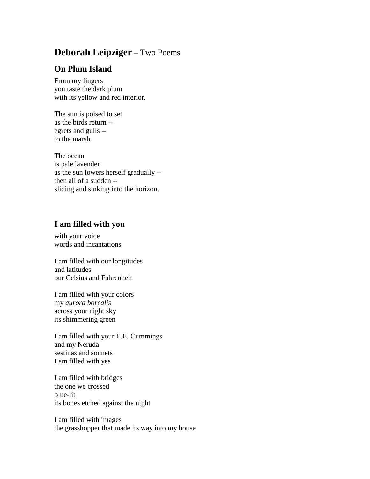## **Deborah Leipziger** – Two Poems

## **On Plum Island**

From my fingers you taste the dark plum with its yellow and red interior.

The sun is poised to set as the birds return - egrets and gulls - to the marsh.

The ocean is pale lavender as the sun lowers herself gradually - then all of a sudden - sliding and sinking into the horizon.

## **I am filled with you**

with your voice words and incantations

I am filled with our longitudes and latitudes our Celsius and Fahrenheit

I am filled with your colors my *aurora borealis* across your night sky its shimmering green

I am filled with your E.E. Cummings and my Neruda sestinas and sonnets I am filled with yes

I am filled with bridges the one we crossed blue-lit its bones etched against the night

I am filled with images the grasshopper that made its way into my house